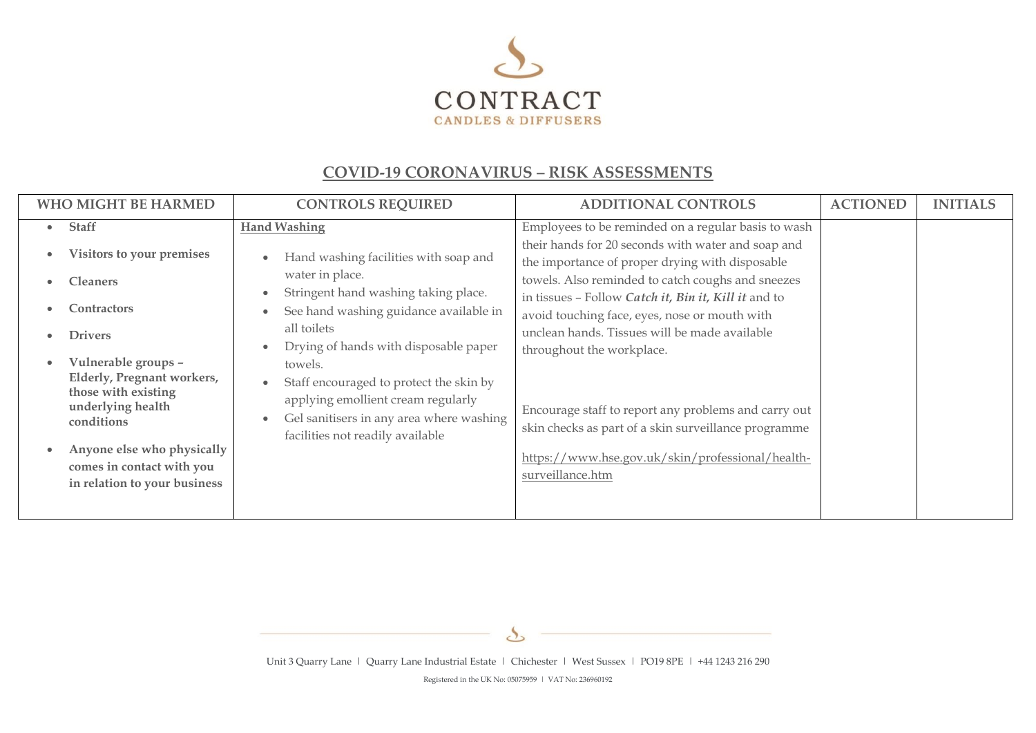

## **COVID-19 CORONAVIRUS – RISK ASSESSMENTS**

Unit 3 Quarry Lane | Quarry Lane Industrial Estate | Chichester | West Sussex | PO19 8PE | +44 1243 216 290

 $\mathcal{S}_{\mathcal{S}}$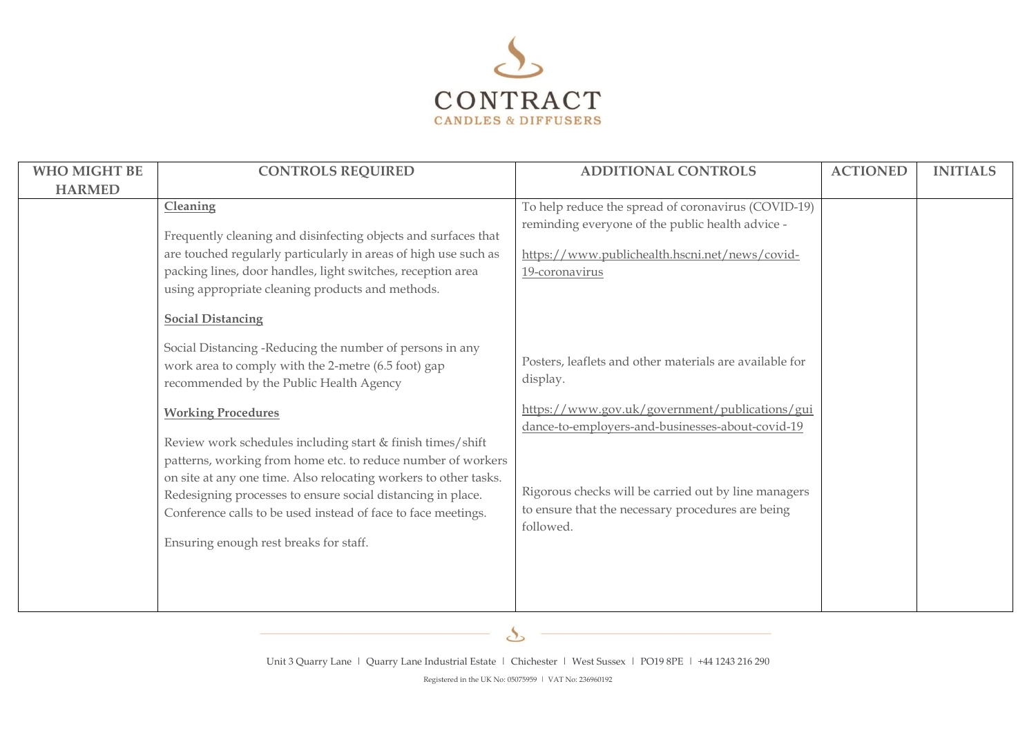

| <b>WHO MIGHT BE</b> | <b>CONTROLS REQUIRED</b>                                                                                                                                                                                                                                                                                   | <b>ADDITIONAL CONTROLS</b>                                                                                                                                                  | <b>ACTIONED</b> | <b>INITIALS</b> |
|---------------------|------------------------------------------------------------------------------------------------------------------------------------------------------------------------------------------------------------------------------------------------------------------------------------------------------------|-----------------------------------------------------------------------------------------------------------------------------------------------------------------------------|-----------------|-----------------|
| <b>HARMED</b>       |                                                                                                                                                                                                                                                                                                            |                                                                                                                                                                             |                 |                 |
|                     | Cleaning<br>Frequently cleaning and disinfecting objects and surfaces that<br>are touched regularly particularly in areas of high use such as<br>packing lines, door handles, light switches, reception area<br>using appropriate cleaning products and methods.<br><b>Social Distancing</b>               | To help reduce the spread of coronavirus (COVID-19)<br>reminding everyone of the public health advice -<br>https://www.publichealth.hscni.net/news/covid-<br>19-coronavirus |                 |                 |
|                     | Social Distancing -Reducing the number of persons in any<br>work area to comply with the 2-metre (6.5 foot) gap<br>recommended by the Public Health Agency<br><b>Working Procedures</b><br>Review work schedules including start & finish times/shift                                                      | Posters, leaflets and other materials are available for<br>display.<br>https://www.gov.uk/government/publications/gui<br>dance-to-employers-and-businesses-about-covid-19   |                 |                 |
|                     | patterns, working from home etc. to reduce number of workers<br>on site at any one time. Also relocating workers to other tasks.<br>Redesigning processes to ensure social distancing in place.<br>Conference calls to be used instead of face to face meetings.<br>Ensuring enough rest breaks for staff. | Rigorous checks will be carried out by line managers<br>to ensure that the necessary procedures are being<br>followed.                                                      |                 |                 |

 $\mathcal{S}_{\mathcal{S}}$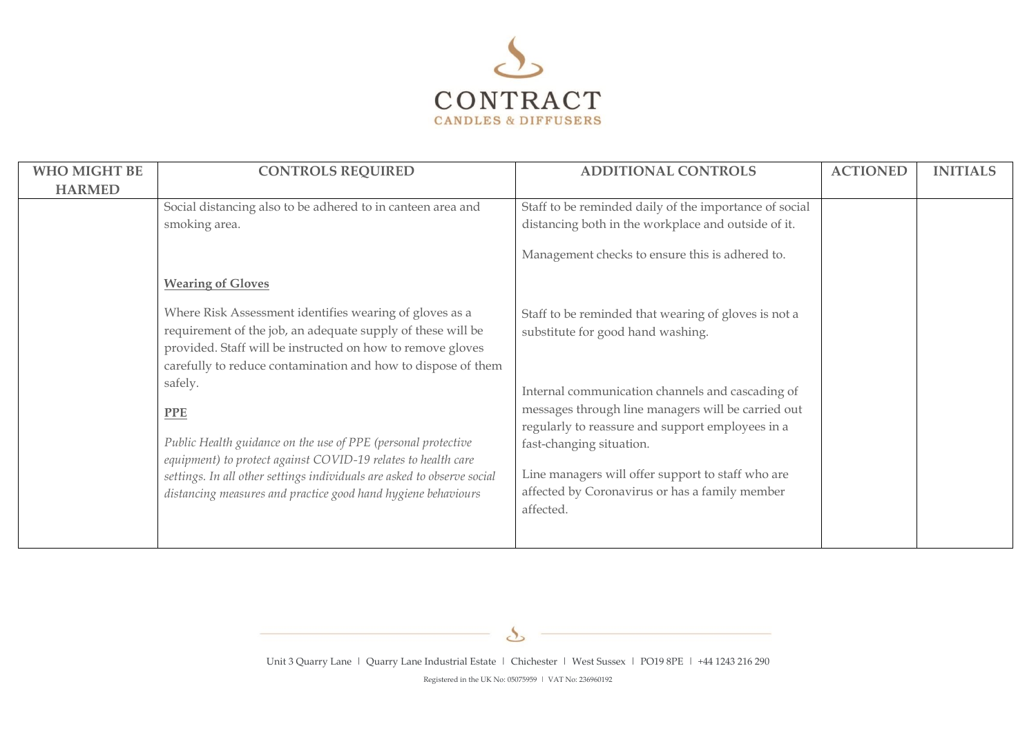

| <b>WHO MIGHT BE</b> | <b>CONTROLS REQUIRED</b>                                                                                                                                                                                                                                                                                                                                                                                                                                                                                                                                    | <b>ADDITIONAL CONTROLS</b>                                                                                                                                                                                                                                                                                                                                                                              | <b>ACTIONED</b> | <b>INITIALS</b> |
|---------------------|-------------------------------------------------------------------------------------------------------------------------------------------------------------------------------------------------------------------------------------------------------------------------------------------------------------------------------------------------------------------------------------------------------------------------------------------------------------------------------------------------------------------------------------------------------------|---------------------------------------------------------------------------------------------------------------------------------------------------------------------------------------------------------------------------------------------------------------------------------------------------------------------------------------------------------------------------------------------------------|-----------------|-----------------|
| <b>HARMED</b>       |                                                                                                                                                                                                                                                                                                                                                                                                                                                                                                                                                             |                                                                                                                                                                                                                                                                                                                                                                                                         |                 |                 |
|                     | Social distancing also to be adhered to in canteen area and                                                                                                                                                                                                                                                                                                                                                                                                                                                                                                 | Staff to be reminded daily of the importance of social                                                                                                                                                                                                                                                                                                                                                  |                 |                 |
|                     | smoking area.                                                                                                                                                                                                                                                                                                                                                                                                                                                                                                                                               | distancing both in the workplace and outside of it.                                                                                                                                                                                                                                                                                                                                                     |                 |                 |
|                     |                                                                                                                                                                                                                                                                                                                                                                                                                                                                                                                                                             | Management checks to ensure this is adhered to.                                                                                                                                                                                                                                                                                                                                                         |                 |                 |
|                     | <b>Wearing of Gloves</b>                                                                                                                                                                                                                                                                                                                                                                                                                                                                                                                                    |                                                                                                                                                                                                                                                                                                                                                                                                         |                 |                 |
|                     | Where Risk Assessment identifies wearing of gloves as a<br>requirement of the job, an adequate supply of these will be<br>provided. Staff will be instructed on how to remove gloves<br>carefully to reduce contamination and how to dispose of them<br>safely.<br><b>PPE</b><br>Public Health guidance on the use of PPE (personal protective<br>equipment) to protect against COVID-19 relates to health care<br>settings. In all other settings individuals are asked to observe social<br>distancing measures and practice good hand hygiene behaviours | Staff to be reminded that wearing of gloves is not a<br>substitute for good hand washing.<br>Internal communication channels and cascading of<br>messages through line managers will be carried out<br>regularly to reassure and support employees in a<br>fast-changing situation.<br>Line managers will offer support to staff who are<br>affected by Coronavirus or has a family member<br>affected. |                 |                 |

 $\mathcal{S}_{\mathcal{S}}$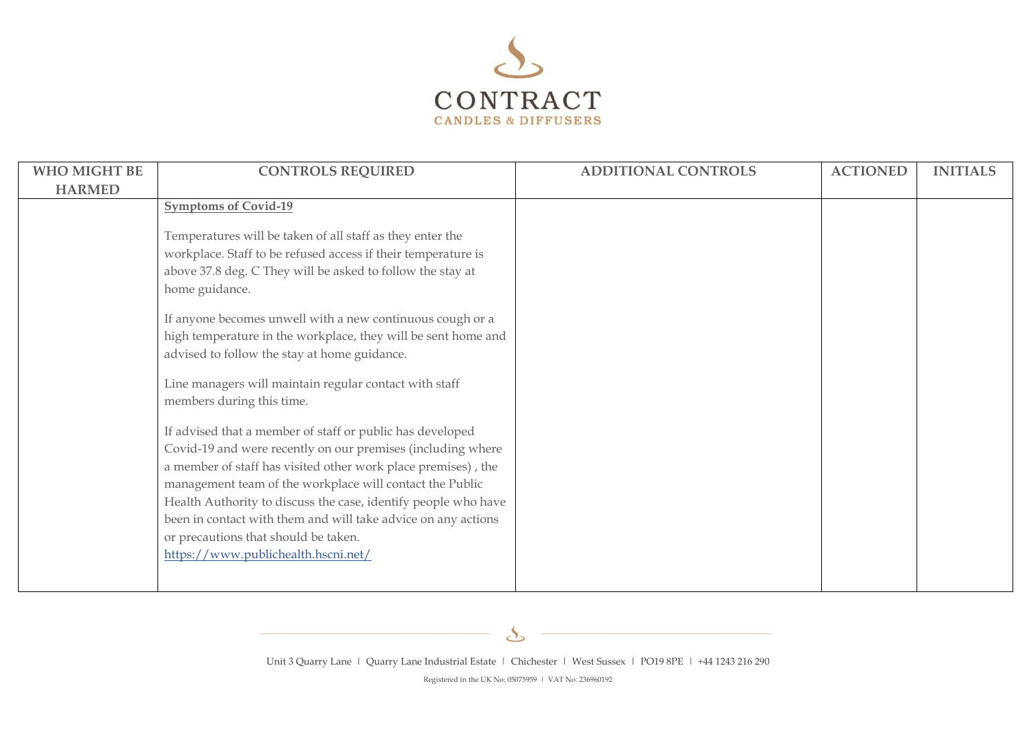

| WHO MIGHT BE  | <b>CONTROLS REQUIRED</b>                                                                                                                                                                                                                                                                                                                                                                                                                                                | <b>ADDITIONAL CONTROLS</b> | <b>ACTIONED</b> | <b>INITIALS</b> |
|---------------|-------------------------------------------------------------------------------------------------------------------------------------------------------------------------------------------------------------------------------------------------------------------------------------------------------------------------------------------------------------------------------------------------------------------------------------------------------------------------|----------------------------|-----------------|-----------------|
| <b>HARMED</b> |                                                                                                                                                                                                                                                                                                                                                                                                                                                                         |                            |                 |                 |
|               | <b>Symptoms of Covid-19</b>                                                                                                                                                                                                                                                                                                                                                                                                                                             |                            |                 |                 |
|               | Temperatures will be taken of all staff as they enter the<br>workplace. Staff to be refused access if their temperature is<br>above 37.8 deg. C They will be asked to follow the stay at<br>home guidance.<br>If anyone becomes unwell with a new continuous cough or a<br>high temperature in the workplace, they will be sent home and                                                                                                                                |                            |                 |                 |
|               | advised to follow the stay at home guidance.                                                                                                                                                                                                                                                                                                                                                                                                                            |                            |                 |                 |
|               |                                                                                                                                                                                                                                                                                                                                                                                                                                                                         |                            |                 |                 |
|               | Line managers will maintain regular contact with staff<br>members during this time.                                                                                                                                                                                                                                                                                                                                                                                     |                            |                 |                 |
|               | If advised that a member of staff or public has developed<br>Covid-19 and were recently on our premises (including where<br>a member of staff has visited other work place premises), the<br>management team of the workplace will contact the Public<br>Health Authority to discuss the case, identify people who have<br>been in contact with them and will take advice on any actions<br>or precautions that should be taken.<br>https://www.publichealth.hscni.net/ |                            |                 |                 |
|               |                                                                                                                                                                                                                                                                                                                                                                                                                                                                         |                            |                 |                 |

 $\mathcal{S}_{\mathcal{S}}$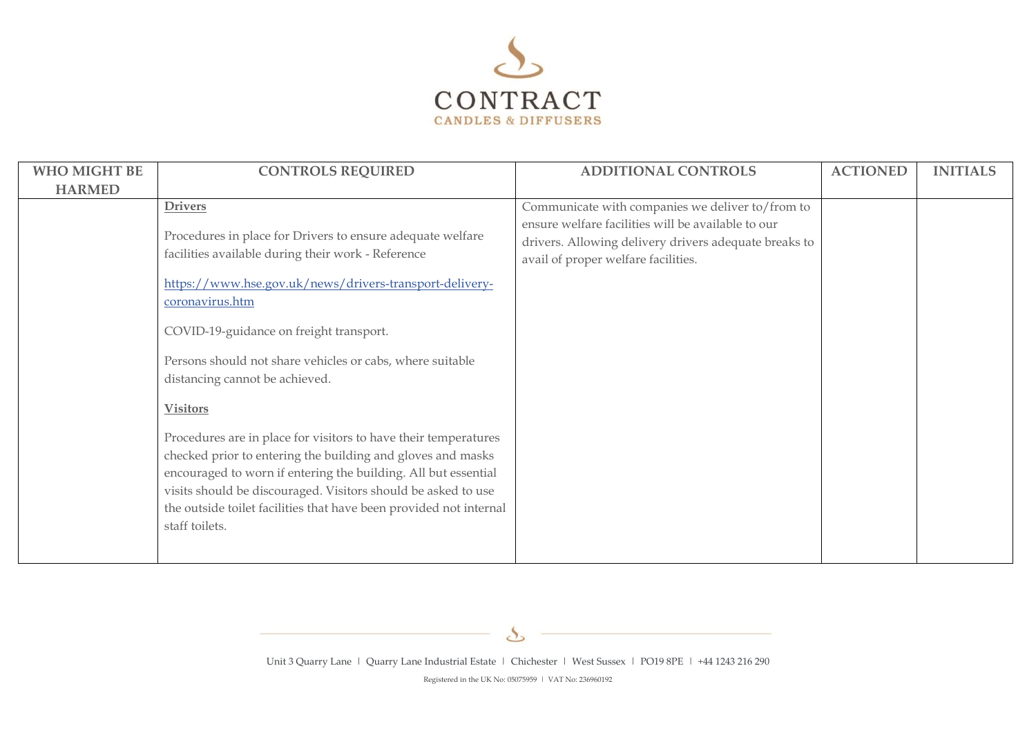

| <b>WHO MIGHT BE</b><br><b>HARMED</b> | <b>CONTROLS REQUIRED</b>                                                                                                                                                                                                                                                                                                                                                                                                                                                                                                                                                                                                                                                                                                                   | <b>ADDITIONAL CONTROLS</b>                                                                                                                                                                             | <b>ACTIONED</b> | <b>INITIALS</b> |
|--------------------------------------|--------------------------------------------------------------------------------------------------------------------------------------------------------------------------------------------------------------------------------------------------------------------------------------------------------------------------------------------------------------------------------------------------------------------------------------------------------------------------------------------------------------------------------------------------------------------------------------------------------------------------------------------------------------------------------------------------------------------------------------------|--------------------------------------------------------------------------------------------------------------------------------------------------------------------------------------------------------|-----------------|-----------------|
|                                      | <b>Drivers</b><br>Procedures in place for Drivers to ensure adequate welfare<br>facilities available during their work - Reference<br>https://www.hse.gov.uk/news/drivers-transport-delivery-<br>coronavirus.htm<br>COVID-19-guidance on freight transport.<br>Persons should not share vehicles or cabs, where suitable<br>distancing cannot be achieved.<br><b>Visitors</b><br>Procedures are in place for visitors to have their temperatures<br>checked prior to entering the building and gloves and masks<br>encouraged to worn if entering the building. All but essential<br>visits should be discouraged. Visitors should be asked to use<br>the outside toilet facilities that have been provided not internal<br>staff toilets. | Communicate with companies we deliver to/from to<br>ensure welfare facilities will be available to our<br>drivers. Allowing delivery drivers adequate breaks to<br>avail of proper welfare facilities. |                 |                 |

 $\mathcal{S}_{\mathcal{S}}$